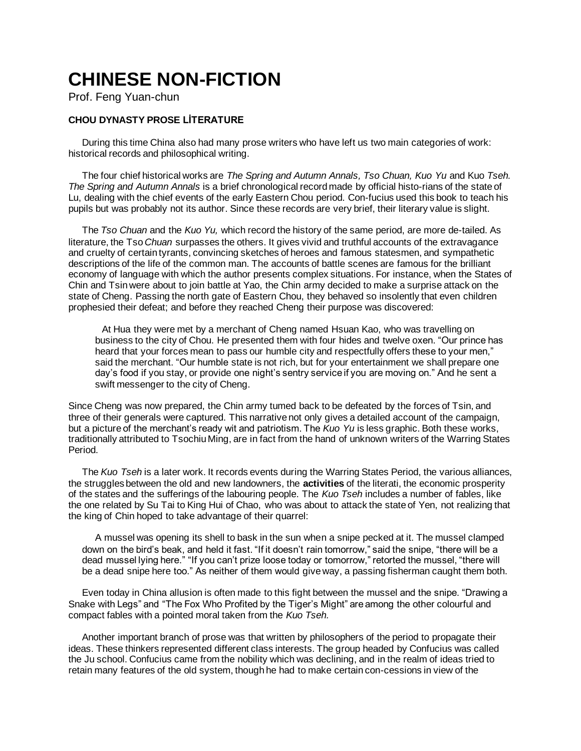## **CHINESE NON-FICTION**

Prof. Feng Yuan-chun

## **CHOU DYNASTY PROSE LİTERATURE**

During this time China also had many prose writers who have left us two main categories of work: historical records and philosophical writing.

The four chief historical works are *The Spring and Autumn Annals, Tso Chuan, Kuo Yu* and Kuo *Tseh. The Spring and Autumn Annals* is a brief chronological record made by official histo-rians of the state of Lu, dealing with the chief events of the early Eastern Chou period. Con-fucius used this book to teach his pupils but was probably not its author. Since these records are very brief, their literary value is slight.

The *Tso Chuan* and the *Kuo Yu,* which record the history of the same period, are more de-tailed. As literature, the Tso *Chuan* surpasses the others. It gives vivid and truthful accounts of the extravagance and cruelty of certain tyrants, convincing sketches of heroes and famous statesmen, and sympathetic descriptions of the life of the common man. The accounts of battle scenes are famous for the brilliant economy of language with which the author presents complex situations. For instance, when the States of Chin and Tsin were about to join battle at Yao, the Chin army decided to make a surprise attack on the state of Cheng. Passing the north gate of Eastern Chou, they behaved so insolently that even children prophesied their defeat; and before they reached Cheng their purpose was discovered:

At Hua they were met by a merchant of Cheng named Hsuan Kao, who was travelling on business to the city of Chou. He presented them with four hides and twelve oxen. "Our prince has heard that your forces mean to pass our humble city and respectfully offers these to your men," said the merchant. "Our humble state is not rich, but for your entertainment we shall prepare one day's food if you stay, or provide one night's sentry service if you are moving on." And he sent a swift messenger to the city of Cheng.

Since Cheng was now prepared, the Chin army tumed back to be defeated by the forces of Tsin, and three of their generals were captured. This narrative not only gives a detailed account of the campaign, but a picture of the merchant's ready wit and patriotism. The *Kuo Yu* is less graphic. Both these works, traditionally attributed to Tsochiu Ming, are in fact from the hand of unknown writers of the Warring States Period.

The *Kuo Tseh* is a later work. It records events during the Warring States Period, the various alliances, the struggles between the old and new landowners, the **activities** of the literati, the economic prosperity of the states and the sufferings of the labouring people. The *Kuo Tseh* includes a number of fables, like the one related by Su Tai to King Hui of Chao, who was about to attack the state of Yen, not realizing that the king of Chin hoped to take advantage of their quarrel:

A mussel was opening its shell to bask in the sun when a snipe pecked at it. The mussel clamped down on the bird's beak, and held it fast. "If it doesn't rain tomorrow," said the snipe, "there will be a dead mussel lying here." "If you can't prize loose today or tomorrow," retorted the mussel, "there will be a dead snipe here too." As neither of them would give way, a passing fisherman caught them both.

Even today in China allusion is often made to this fight between the mussel and the snipe. "Drawing a Snake with Legs" and "The Fox Who Profited by the Tiger's Might" are among the other colourful and compact fables with a pointed moral taken from the *Kuo Tseh.*

Another important branch of prose was that written by philosophers of the period to propagate their ideas. These thinkers represented different class interests. The group headed by Confucius was called the Ju school. Confucius came from the nobility which was declining, and in the realm of ideas tried to retain many features of the old system, though he had to make certain con-cessions in view of the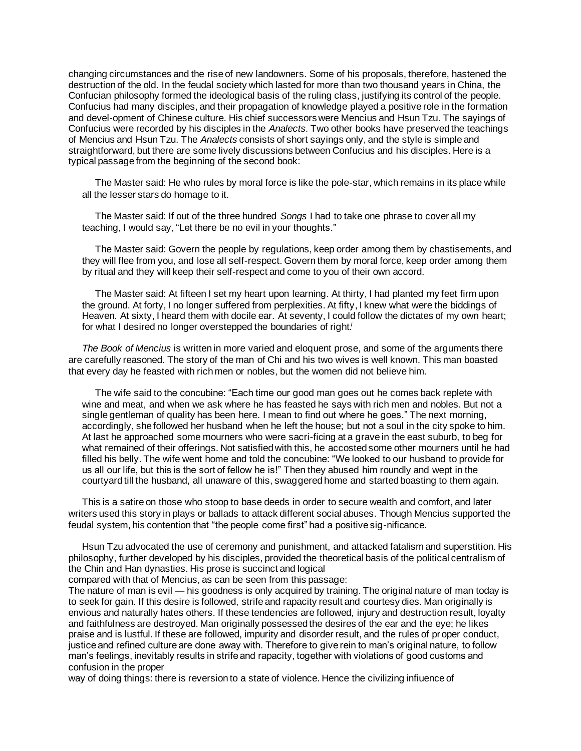changing circumstances and the rise of new landowners. Some of his proposals, therefore, hastened the destruction of the old. In the feudal society which lasted for more than two thousand years in China, the Confucian philosophy formed the ideological basis of the ruling class, justifying its control of the people. Confucius had many disciples, and their propagation of knowledge played a positive role in the formation and devel-opment of Chinese culture. His chief successors were Mencius and Hsun Tzu. The sayings of Confucius were recorded by his disciples in the *Analects.* Two other books have preserved the teachings of Mencius and Hsun Tzu. The *Analects* consists of short sayings only, and the style is simple and straightforward, but there are some lively discussions between Confucius and his disciples. Here is a typical passage from the beginning of the second book:

The Master said: He who rules by moral force is like the pole-star, which remains in its place while all the lesser stars do homage to it.

The Master said: If out of the three hundred *Songs* I had to take one phrase to cover all my teaching, I would say, "Let there be no evil in your thoughts."

The Master said: Govern the people by regulations, keep order among them by chastisements, and they will flee from you, and lose all self-respect. Govern them by moral force, keep order among them by ritual and they will keep their self-respect and come to you of their own accord.

The Master said: At fifteen I set my heart upon learning. At thirty, I had planted my feet firm upon the ground. At forty, I no longer suffered from perplexities. At fifty, I knew what were the biddings of Heaven. At sixty, I heard them with docile ear. At seventy, I could follow the dictates of my own heart; for what I desired no longer overstepped the boundaries of right*. i*

*The Book of Mencius* is written in more varied and eloquent prose, and some of the arguments there are carefully reasoned. The story of the man of Chi and his two wives is well known. This man boasted that every day he feasted with rich men or nobles, but the women did not believe him.

The wife said to the concubine: "Each time our good man goes out he comes back replete with wine and meat, and when we ask where he has feasted he says with rich men and nobles. But not a single gentleman of quality has been here. I mean to find out where he goes." The next morning, accordingly, she followed her husband when he left the house; but not a soul in the city spoke to him. At last he approached some mourners who were sacri-ficing at a grave in the east suburb, to beg for what remained of their offerings. Not satisfied with this, he accosted some other mourners until he had filled his belly. The wife went home and told the concubine: "We looked to our husband to provide for us all our life, but this is the sort of fellow he is!" Then they abused him roundly and wept in the courtyard till the husband, all unaware of this, swaggered home and started boasting to them again.

This is a satire on those who stoop to base deeds in order to secure wealth and comfort, and later writers used this story in plays or ballads to attack different social abuses. Though Mencius supported the feudal system, his contention that "the people come first" had a positive sig-nificance.

Hsun Tzu advocated the use of ceremony and punishment, and attacked fatalism and superstition. His philosophy, further developed by his disciples, provided the theoretical basis of the political centralism of the Chin and Han dynasties. His prose is succinct and logical

compared with that of Mencius, as can be seen from this passage:

The nature of man is evil — his goodness is only acquired by training. The original nature of man today is to seek for gain. If this desire is followed, strife and rapacity result and courtesy dies. Man originally is envious and naturally hates others. If these tendencies are followed, injury and destruction result, loyalty and faithfulness are destroyed. Man originally possessed the desires of the ear and the eye; he likes praise and is lustful. If these are followed, impurity and disorder result, and the rules of proper conduct, justice and refined culture are done away with. Therefore to give rein to man's original nature, to follow man's feelings, inevitably results in strife and rapacity, together with violations of good customs and confusion in the proper

way of doing things: there is reversion to a state of violence. Hence the civilizing infiuence of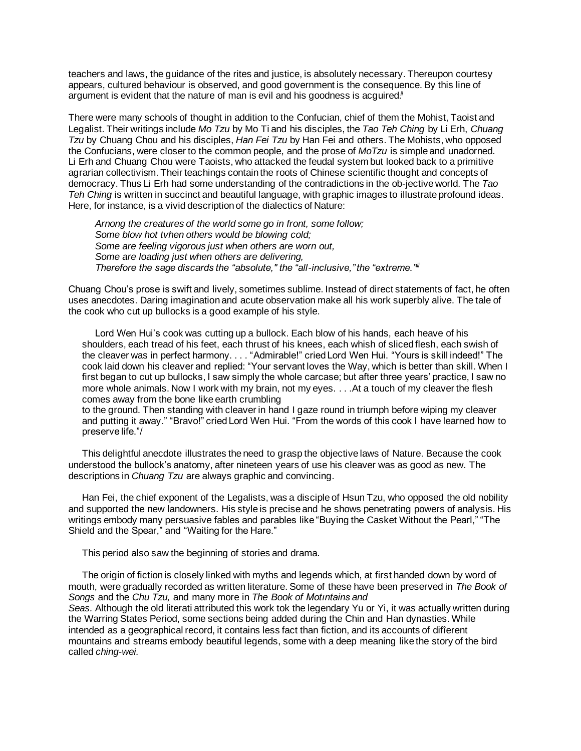teachers and laws, the guidance of the rites and justice, is absolutely necessary. Thereupon courtesy appears, cultured behaviour is observed, and good government is the consequence. By this line of argument is evident that the nature of man is evil and his goodness is acguired*. ii*

There were many schools of thought in addition to the Confucian, chief of them the Mohist, Taoist and Legalist. Their writings include *Mo Tzu* by Mo Ti and his disciples, the *Tao Teh Ching* by Li Erh, *Chuang Tzu* by Chuang Chou and his disciples, *Han Fei Tzu* by Han Fei and others. The Mohists, who opposed the Confucians, were closer to the common people, and the prose of *MoTzu* is simple and unadorned. Li Erh and Chuang Chou were Taoists, who attacked the feudal system but looked back to a primitive agrarian collectivism. Their teachings contain the roots of Chinese scientific thought and concepts of democracy. Thus Li Erh had some understanding of the contradictions in the ob-jective world. The *Tao Teh Ching* is written in succinct and beautiful language, with graphic images to illustrate profound ideas. Here, for instance, is a vivid description of the dialectics of Nature:

*Arnong the creatures of the world some go in front, some follow; Some blow hot tvhen others would be blowing cold; Some are feeling vigorous just when others are worn out, Some are loading just when others are delivering, Therefore the sage discards the "absolute," the "all-inclusive," the "extreme."iii*

Chuang Chou's prose is swift and lively, sometimes sublime. Instead of direct statements of fact, he often uses anecdotes. Daring imagination and acute observation make all his work superbly alive. The tale of the cook who cut up bullocks is a good example of his style.

Lord Wen Hui's cook was cutting up a bullock. Each blow of his hands, each heave of his shoulders, each tread of his feet, each thrust of his knees, each whish of sliced flesh, each swish of the cleaver was in perfect harmony. . . . "Admirable!" cried Lord Wen Hui. "Yours is skill indeed!" The cook laid down his cleaver and replied: "Your servant loves the Way, which is better than skill. When I first began to cut up bullocks, I saw simply the whole carcase; but after three years' practice, I saw no more whole animals. Now I work with my brain, not my eyes. . . .At a touch of my cleaver the flesh comes away from the bone like earth crumbling

to the ground. Then standing with cleaver in hand I gaze round in triumph before wiping my cleaver and putting it away." "Bravo!" cried Lord Wen Hui. "From the words of this cook I have learned how to preserve life."/

This delightful anecdote illustrates the need to grasp the objective laws of Nature. Because the cook understood the bullock's anatomy, after nineteen years of use his cleaver was as good as new. The descriptions in *Chuang Tzu* are always graphic and convincing.

Han Fei, the chief exponent of the Legalists, was a disciple of Hsun Tzu, who opposed the old nobility and supported the new landowners. His style is precise and he shows penetrating powers of analysis. His writings embody many persuasive fables and parables like "Buying the Casket Without the Pearl," "The Shield and the Spear," and "Waiting for the Hare."

This period also saw the beginning of stories and drama.

The origin of fiction is closely linked with myths and legends which, at first handed down by word of mouth, were gradually recorded as written literature. Some of these have been preserved in *The Book of Songs* and the *Chu Tzu,* and many more in *The Book of Motıntains and Seas.* Although the old literati attributed this work tok the legendary Yu or Yi, it was actually written during the Warring States Period, some sections being added during the Chin and Han dynasties. While intended as a geographical record, it contains less fact than fiction, and its accounts of difîerent mountains and streams embody beautiful legends, some with a deep meaning like the story of the bird called *ching-wei.*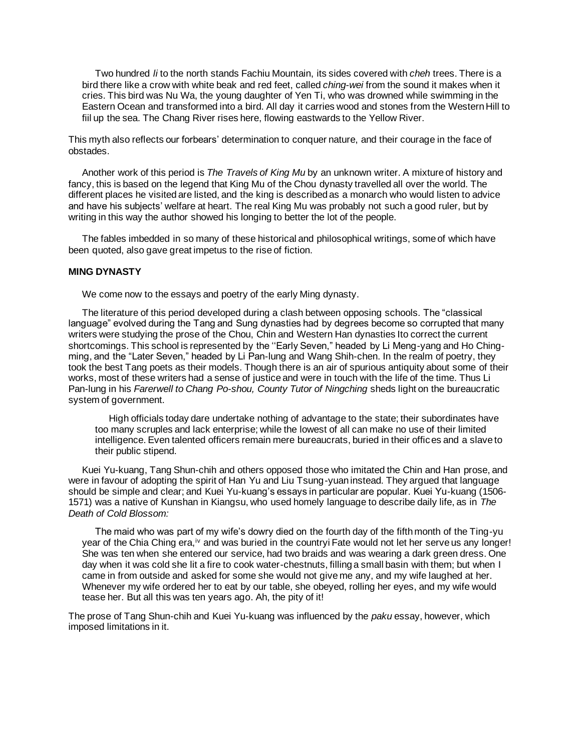Two hundred *li* to the north stands Fachiu Mountain, its sides covered with *cheh* trees. There is a bird there like a crow with white beak and red feet, called *ching-wei* from the sound it makes when it cries. This bird was Nu Wa, the young daughter of Yen Ti, who was drowned while swimming in the Eastern Ocean and transformed into a bird. All day it carries wood and stones from the Western Hill to fiil up the sea. The Chang River rises here, flowing eastwards to the Yellow River.

This myth also reflects our forbears' determination to conquer nature, and their courage in the face of obstades.

Another work of this period is *The Travels of King Mu* by an unknown writer. A mixture of history and fancy, this is based on the legend that King Mu of the Chou dynasty travelled all over the world. The different places he visited are listed, and the king is described as a monarch who would listen to advice and have his subjects' welfare at heart. The real King Mu was probably not such a good ruler, but by writing in this way the author showed his longing to better the lot of the people.

The fables imbedded in so many of these historical and philosophical writings, some of which have been quoted, also gave great impetus to the rise of fiction.

## **MING DYNASTY**

We come now to the essays and poetry of the early Ming dynasty.

The literature of this period developed during a clash between opposing schools. The "classical language" evolved during the Tang and Sung dynasties had by degrees become so corrupted that many writers were studying the prose of the Chou, Chin and Western Han dynasties Ito correct the current shortcomings. This school is represented by the ''Early Seven," headed by Li Meng-yang and Ho Chingming, and the "Later Seven," headed by Li Pan-lung and Wang Shih-chen. In the realm of poetry, they took the best Tang poets as their models. Though there is an air of spurious antiquity about some of their works, most of these writers had a sense of justice and were in touch with the life of the time. Thus Li Pan-lung in his *Farerwell to Chang Po-shou, County Tutor of Ningching* sheds light on the bureaucratic system of government.

High officials today dare undertake nothing of advantage to the state; their subordinates have too many scruples and lack enterprise; while the lowest of all can make no use of their limited intelligence. Even talented officers remain mere bureaucrats, buried in their offices and a slave to their public stipend.

Kuei Yu-kuang, Tang Shun-chih and others opposed those who imitated the Chin and Han prose, and were in favour of adopting the spirit of Han Yu and Liu Tsung-yuan instead. They argued that language should be simple and clear; and Kuei Yu-kuang's essays in particular are popular. Kuei Yu-kuang (1506- 1571) was a native of Kunshan in Kiangsu, who used homely language to describe daily life, as in *The Death of Cold Blossom:*

The maid who was part of my wife's dowry died on the fourth day of the fifth month of the Ting-yu year of the Chia Ching era,<sup>iv</sup> and was buried in the countryi Fate would not let her serve us any longer! She was ten when she entered our service, had two braids and was wearing a dark green dress. One day when it was cold she lit a fire to cook water-chestnuts, filling a small basin with them; but when I came in from outside and asked for some she would not give me any, and my wife laughed at her. Whenever my wife ordered her to eat by our table, she obeyed, rolling her eyes, and my wife would tease her. But all this was ten years ago. Ah, the pity of it!

The prose of Tang Shun-chih and Kuei Yu-kuang was influenced by the *paku* essay, however, which imposed limitations in it.